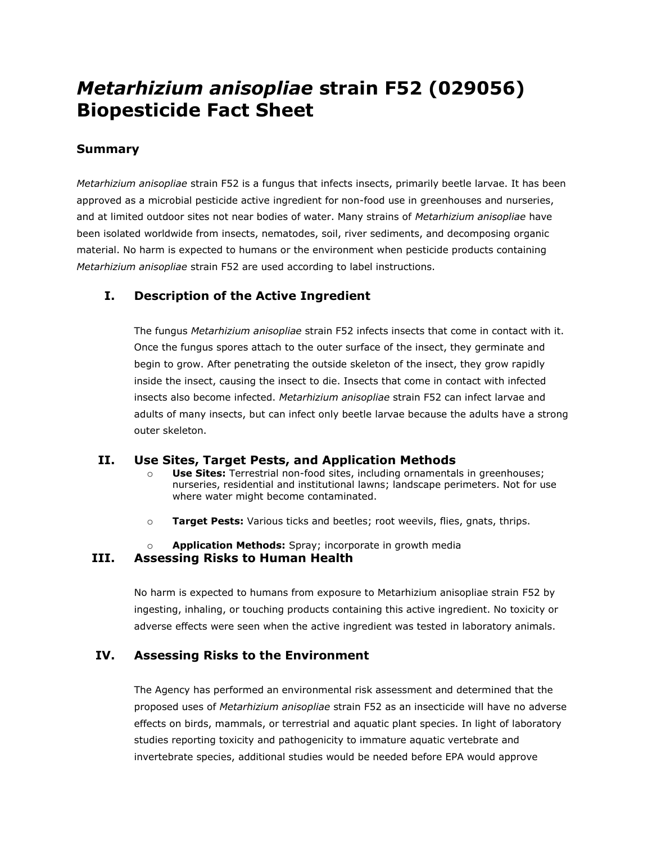# *Metarhizium anisopliae* **strain F52 (029056) Biopesticide Fact Sheet**

### **Summary**

*Metarhizium anisopliae* strain F52 is a fungus that infects insects, primarily beetle larvae. It has been approved as a microbial pesticide active ingredient for non-food use in greenhouses and nurseries, and at limited outdoor sites not near bodies of water. Many strains of *Metarhizium anisopliae* have been isolated worldwide from insects, nematodes, soil, river sediments, and decomposing organic material. No harm is expected to humans or the environment when pesticide products containing *Metarhizium anisopliae* strain F52 are used according to label instructions.

## **I. Description of the Active Ingredient**

The fungus *Metarhizium anisopliae* strain F52 infects insects that come in contact with it. Once the fungus spores attach to the outer surface of the insect, they germinate and begin to grow. After penetrating the outside skeleton of the insect, they grow rapidly inside the insect, causing the insect to die. Insects that come in contact with infected insects also become infected. *Metarhizium anisopliae* strain F52 can infect larvae and adults of many insects, but can infect only beetle larvae because the adults have a strong outer skeleton.

#### **II. Use Sites, Target Pests, and Application Methods**

- o **Use Sites:** Terrestrial non-food sites, including ornamentals in greenhouses; nurseries, residential and institutional lawns; landscape perimeters. Not for use where water might become contaminated.
- o **Target Pests:** Various ticks and beetles; root weevils, flies, gnats, thrips.

# Application Methods: Spray; incorporate in growth media

#### **III. Assessing Risks to Human Health**

No harm is expected to humans from exposure to Metarhizium anisopliae strain F52 by ingesting, inhaling, or touching products containing this active ingredient. No toxicity or adverse effects were seen when the active ingredient was tested in laboratory animals.

### **IV. Assessing Risks to the Environment**

The Agency has performed an environmental risk assessment and determined that the proposed uses of *Metarhizium anisopliae* strain F52 as an insecticide will have no adverse effects on birds, mammals, or terrestrial and aquatic plant species. In light of laboratory studies reporting toxicity and pathogenicity to immature aquatic vertebrate and invertebrate species, additional studies would be needed before EPA would approve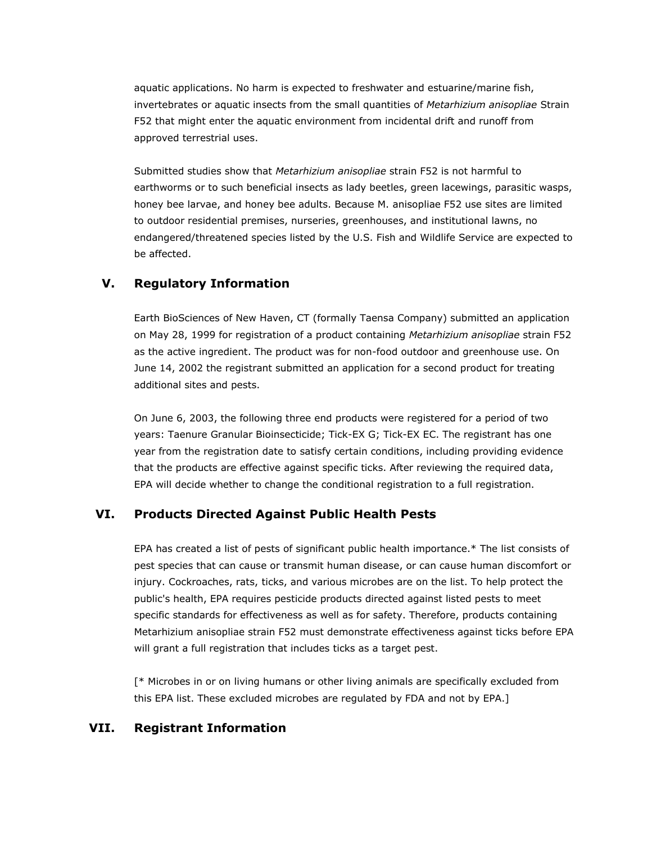aquatic applications. No harm is expected to freshwater and estuarine/marine fish, invertebrates or aquatic insects from the small quantities of *Metarhizium anisopliae* Strain F52 that might enter the aquatic environment from incidental drift and runoff from approved terrestrial uses.

Submitted studies show that *Metarhizium anisopliae* strain F52 is not harmful to earthworms or to such beneficial insects as lady beetles, green lacewings, parasitic wasps, honey bee larvae, and honey bee adults. Because M. anisopliae F52 use sites are limited to outdoor residential premises, nurseries, greenhouses, and institutional lawns, no endangered/threatened species listed by the U.S. Fish and Wildlife Service are expected to be affected.

#### **V. Regulatory Information**

Earth BioSciences of New Haven, CT (formally Taensa Company) submitted an application on May 28, 1999 for registration of a product containing *Metarhizium anisopliae* strain F52 as the active ingredient. The product was for non-food outdoor and greenhouse use. On June 14, 2002 the registrant submitted an application for a second product for treating additional sites and pests.

On June 6, 2003, the following three end products were registered for a period of two years: Taenure Granular Bioinsecticide; Tick-EX G; Tick-EX EC. The registrant has one year from the registration date to satisfy certain conditions, including providing evidence that the products are effective against specific ticks. After reviewing the required data, EPA will decide whether to change the conditional registration to a full registration.

#### **VI. Products Directed Against Public Health Pests**

EPA has created a list of pests of significant public health importance.\* The list consists of pest species that can cause or transmit human disease, or can cause human discomfort or injury. Cockroaches, rats, ticks, and various microbes are on the list. To help protect the public's health, EPA requires pesticide products directed against listed pests to meet specific standards for effectiveness as well as for safety. Therefore, products containing Metarhizium anisopliae strain F52 must demonstrate effectiveness against ticks before EPA will grant a full registration that includes ticks as a target pest.

[\* Microbes in or on living humans or other living animals are specifically excluded from this EPA list. These excluded microbes are regulated by FDA and not by EPA.]

#### **VII. Registrant Information**